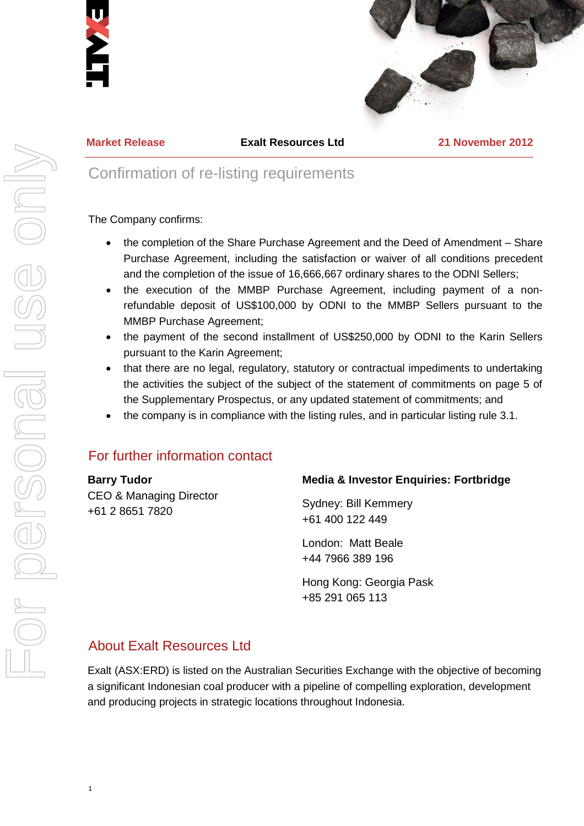



**Market Release Exalt Resources Ltd 21 November 2012**

# Confirmation of re-listing requirements

#### The Company confirms:

- the completion of the Share Purchase Agreement and the Deed of Amendment Share Purchase Agreement, including the satisfaction or waiver of all conditions precedent and the completion of the issue of 16,666,667 ordinary shares to the ODNI Sellers;
- the execution of the MMBP Purchase Agreement, including payment of a nonrefundable deposit of US\$100,000 by ODNI to the MMBP Sellers pursuant to the MMBP Purchase Agreement;
- the payment of the second installment of US\$250,000 by ODNI to the Karin Sellers pursuant to the Karin Agreement;
- that there are no legal, regulatory, statutory or contractual impediments to undertaking the activities the subject of the subject of the statement of commitments on page 5 of the Supplementary Prospectus, or any updated statement of commitments; and
- the company is in compliance with the listing rules, and in particular listing rule 3.1.

## For further information contact

#### **Barry Tudor**

CEO & Managing Director +61 2 8651 7820

### **Media & Investor Enquiries: Fortbridge**

Sydney: Bill Kemmery +61 400 122 449

London: Matt Beale +44 7966 389 196

Hong Kong: Georgia Pask +85 291 065 113

## About Exalt Resources Ltd

Exalt (ASX:ERD) is listed on the Australian Securities Exchange with the objective of becoming a significant Indonesian coal producer with a pipeline of compelling exploration, development and producing projects in strategic locations throughout Indonesia.